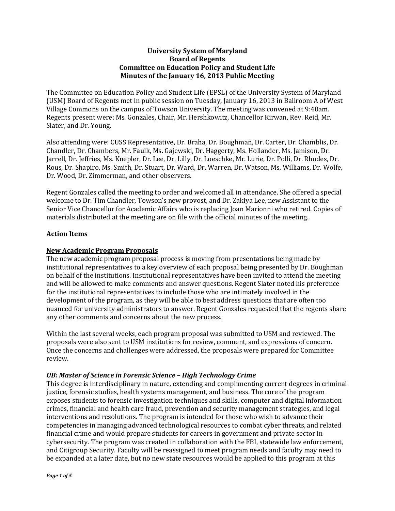### **University System of Maryland Board of Regents Committee on Education Policy and Student Life Minutes of the January 16, 2013 Public Meeting**

The Committee on Education Policy and Student Life (EPSL) of the University System of Maryland (USM) Board of Regents met in public session on Tuesday, January 16, 2013 in Ballroom A of West Village Commons on the campus of Towson University. The meeting was convened at 9:40am. Regents present were: Ms. Gonzales, Chair, Mr. Hershkowitz, Chancellor Kirwan, Rev. Reid, Mr. Slater, and Dr. Young.

Also attending were: CUSS Representative, Dr. Braha, Dr. Boughman, Dr. Carter, Dr. Chamblis, Dr. Chandler, Dr. Chambers, Mr. Faulk, Ms. Gajewski, Dr. Haggerty, Ms. Hollander, Ms. Jamison, Dr. Jarrell, Dr. Jeffries, Ms. Knepler, Dr. Lee, Dr. Lilly, Dr. Loeschke, Mr. Lurie, Dr. Polli, Dr. Rhodes, Dr. Rous, Dr. Shapiro, Ms. Smith, Dr. Stuart, Dr. Ward, Dr. Warren, Dr. Watson, Ms. Williams, Dr. Wolfe, Dr. Wood, Dr. Zimmerman, and other observers.

Regent Gonzales called the meeting to order and welcomed all in attendance. She offered a special welcome to Dr. Tim Chandler, Towson's new provost, and Dr. Zakiya Lee, new Assistant to the Senior Vice Chancellor for Academic Affairs who is replacing Joan Marionni who retired. Copies of materials distributed at the meeting are on file with the official minutes of the meeting.

### **Action Items**

### **New Academic Program Proposals**

The new academic program proposal process is moving from presentations being made by institutional representatives to a key overview of each proposal being presented by Dr. Boughman on behalf of the institutions. Institutional representatives have been invited to attend the meeting and will be allowed to make comments and answer questions. Regent Slater noted his preference for the institutional representatives to include those who are intimately involved in the development of the program, as they will be able to best address questions that are often too nuanced for university administrators to answer. Regent Gonzales requested that the regents share any other comments and concerns about the new process.

Within the last several weeks, each program proposal was submitted to USM and reviewed. The proposals were also sent to USM institutions for review, comment, and expressions of concern. Once the concerns and challenges were addressed, the proposals were prepared for Committee review.

#### *UB: Master of Science in Forensic Science – High Technology Crime*

This degree is interdisciplinary in nature, extending and complimenting current degrees in criminal justice, forensic studies, health systems management, and business. The core of the program exposes students to forensic investigation techniques and skills, computer and digital information crimes, financial and health care fraud, prevention and security management strategies, and legal interventions and resolutions. The program is intended for those who wish to advance their competencies in managing advanced technological resources to combat cyber threats, and related financial crime and would prepare students for careers in government and private sector in cybersecurity. The program was created in collaboration with the FBI, statewide law enforcement, and Citigroup Security. Faculty will be reassigned to meet program needs and faculty may need to be expanded at a later date, but no new state resources would be applied to this program at this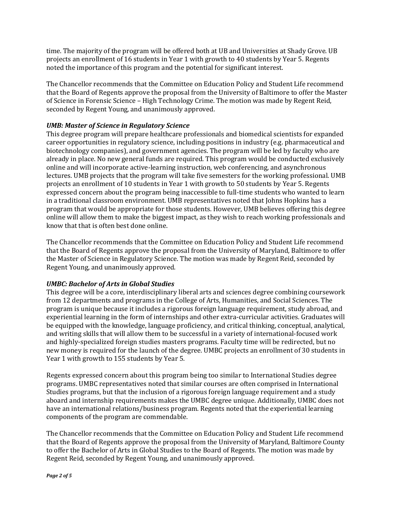time. The majority of the program will be offered both at UB and Universities at Shady Grove. UB projects an enrollment of 16 students in Year 1 with growth to 40 students by Year 5. Regents noted the importance of this program and the potential for significant interest.

The Chancellor recommends that the Committee on Education Policy and Student Life recommend that the Board of Regents approve the proposal from the University of Baltimore to offer the Master of Science in Forensic Science – High Technology Crime. The motion was made by Regent Reid, seconded by Regent Young, and unanimously approved.

# *UMB: Master of Science in Regulatory Science*

This degree program will prepare healthcare professionals and biomedical scientists for expanded career opportunities in regulatory science, including positions in industry (e.g. pharmaceutical and biotechnology companies), and government agencies. The program will be led by faculty who are already in place. No new general funds are required. This program would be conducted exclusively online and will incorporate active-learning instruction, web conferencing, and asynchronous lectures. UMB projects that the program will take five semesters for the working professional. UMB projects an enrollment of 10 students in Year 1 with growth to 50 students by Year 5. Regents expressed concern about the program being inaccessible to full-time students who wanted to learn in a traditional classroom environment. UMB representatives noted that Johns Hopkins has a program that would be appropriate for those students. However, UMB believes offering this degree online will allow them to make the biggest impact, as they wish to reach working professionals and know that that is often best done online.

The Chancellor recommends that the Committee on Education Policy and Student Life recommend that the Board of Regents approve the proposal from the University of Maryland, Baltimore to offer the Master of Science in Regulatory Science. The motion was made by Regent Reid, seconded by Regent Young, and unanimously approved.

## *UMBC: Bachelor of Arts in Global Studies*

This degree will be a core, interdisciplinary liberal arts and sciences degree combining coursework from 12 departments and programs in the College of Arts, Humanities, and Social Sciences. The program is unique because it includes a rigorous foreign language requirement, study abroad, and experiential learning in the form of internships and other extra-curricular activities. Graduates will be equipped with the knowledge, language proficiency, and critical thinking, conceptual, analytical, and writing skills that will allow them to be successful in a variety of international-focused work and highly-specialized foreign studies masters programs. Faculty time will be redirected, but no new money is required for the launch of the degree. UMBC projects an enrollment of 30 students in Year 1 with growth to 155 students by Year 5.

Regents expressed concern about this program being too similar to International Studies degree programs. UMBC representatives noted that similar courses are often comprised in International Studies programs, but that the inclusion of a rigorous foreign language requirement and a study aboard and internship requirements makes the UMBC degree unique. Additionally, UMBC does not have an international relations/business program. Regents noted that the experiential learning components of the program are commendable.

The Chancellor recommends that the Committee on Education Policy and Student Life recommend that the Board of Regents approve the proposal from the University of Maryland, Baltimore County to offer the Bachelor of Arts in Global Studies to the Board of Regents. The motion was made by Regent Reid, seconded by Regent Young, and unanimously approved.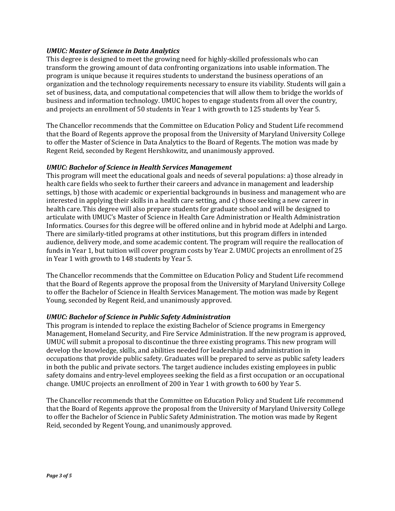### *UMUC: Master of Science in Data Analytics*

This degree is designed to meet the growing need for highly-skilled professionals who can transform the growing amount of data confronting organizations into usable information. The program is unique because it requires students to understand the business operations of an organization and the technology requirements necessary to ensure its viability. Students will gain a set of business, data, and computational competencies that will allow them to bridge the worlds of business and information technology. UMUC hopes to engage students from all over the country, and projects an enrollment of 50 students in Year 1 with growth to 125 students by Year 5.

The Chancellor recommends that the Committee on Education Policy and Student Life recommend that the Board of Regents approve the proposal from the University of Maryland University College to offer the Master of Science in Data Analytics to the Board of Regents. The motion was made by Regent Reid, seconded by Regent Hershkowitz, and unanimously approved.

#### *UMUC: Bachelor of Science in Health Services Management*

This program will meet the educational goals and needs of several populations: a) those already in health care fields who seek to further their careers and advance in management and leadership settings, b) those with academic or experiential backgrounds in business and management who are interested in applying their skills in a health care setting, and c) those seeking a new career in health care. This degree will also prepare students for graduate school and will be designed to articulate with UMUC's Master of Science in Health Care Administration or Health Administration Informatics. Courses for this degree will be offered online and in hybrid mode at Adelphi and Largo. There are similarly-titled programs at other institutions, but this program differs in intended audience, delivery mode, and some academic content. The program will require the reallocation of funds in Year 1, but tuition will cover program costs by Year 2. UMUC projects an enrollment of 25 in Year 1 with growth to 148 students by Year 5.

The Chancellor recommends that the Committee on Education Policy and Student Life recommend that the Board of Regents approve the proposal from the University of Maryland University College to offer the Bachelor of Science in Health Services Management. The motion was made by Regent Young, seconded by Regent Reid, and unanimously approved.

#### *UMUC: Bachelor of Science in Public Safety Administration*

This program is intended to replace the existing Bachelor of Science programs in Emergency Management, Homeland Security, and Fire Service Administration. If the new program is approved, UMUC will submit a proposal to discontinue the three existing programs. This new program will develop the knowledge, skills, and abilities needed for leadership and administration in occupations that provide public safety. Graduates will be prepared to serve as public safety leaders in both the public and private sectors. The target audience includes existing employees in public safety domains and entry-level employees seeking the field as a first occupation or an occupational change. UMUC projects an enrollment of 200 in Year 1 with growth to 600 by Year 5.

The Chancellor recommends that the Committee on Education Policy and Student Life recommend that the Board of Regents approve the proposal from the University of Maryland University College to offer the Bachelor of Science in Public Safety Administration. The motion was made by Regent Reid, seconded by Regent Young, and unanimously approved.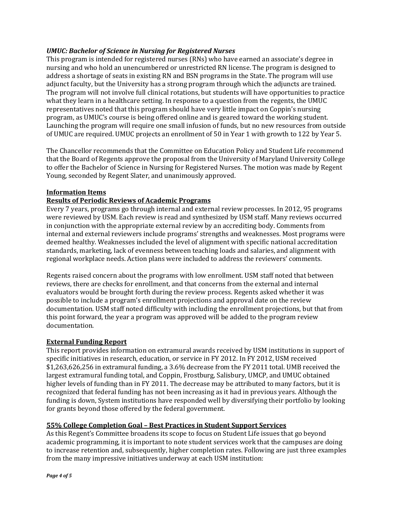## *UMUC: Bachelor of Science in Nursing for Registered Nurses*

This program is intended for registered nurses (RNs) who have earned an associate's degree in nursing and who hold an unencumbered or unrestricted RN license. The program is designed to address a shortage of seats in existing RN and BSN programs in the State. The program will use adjunct faculty, but the University has a strong program through which the adjuncts are trained. The program will not involve full clinical rotations, but students will have opportunities to practice what they learn in a healthcare setting. In response to a question from the regents, the UMUC representatives noted that this program should have very little impact on Coppin's nursing program, as UMUC's course is being offered online and is geared toward the working student. Launching the program will require one small infusion of funds, but no new resources from outside of UMUC are required. UMUC projects an enrollment of 50 in Year 1 with growth to 122 by Year 5.

The Chancellor recommends that the Committee on Education Policy and Student Life recommend that the Board of Regents approve the proposal from the University of Maryland University College to offer the Bachelor of Science in Nursing for Registered Nurses. The motion was made by Regent Young, seconded by Regent Slater, and unanimously approved.

### **Information Items**

### **Results of Periodic Reviews of Academic Programs**

Every 7 years, programs go through internal and external review processes. In 2012, 95 programs were reviewed by USM. Each review is read and synthesized by USM staff. Many reviews occurred in conjunction with the appropriate external review by an accrediting body. Comments from internal and external reviewers include programs' strengths and weaknesses. Most programs were deemed healthy. Weaknesses included the level of alignment with specific national accreditation standards, marketing, lack of evenness between teaching loads and salaries, and alignment with regional workplace needs. Action plans were included to address the reviewers' comments.

Regents raised concern about the programs with low enrollment. USM staff noted that between reviews, there are checks for enrollment, and that concerns from the external and internal evaluators would be brought forth during the review process. Regents asked whether it was possible to include a program's enrollment projections and approval date on the review documentation. USM staff noted difficulty with including the enrollment projections, but that from this point forward, the year a program was approved will be added to the program review documentation.

#### **External Funding Report**

This report provides information on extramural awards received by USM institutions in support of specific initiatives in research, education, or service in FY 2012. In FY 2012, USM received \$1,263,626,256 in extramural funding, a 3.6% decrease from the FY 2011 total. UMB received the largest extramural funding total, and Coppin, Frostburg, Salisbury, UMCP, and UMUC obtained higher levels of funding than in FY 2011. The decrease may be attributed to many factors, but it is recognized that federal funding has not been increasing as it had in previous years. Although the funding is down, System institutions have responded well by diversifying their portfolio by looking for grants beyond those offered by the federal government.

### **55% College Completion Goal – Best Practices in Student Support Services**

As this Regent's Committee broadens its scope to focus on Student Life issues that go beyond academic programming, it is important to note student services work that the campuses are doing to increase retention and, subsequently, higher completion rates. Following are just three examples from the many impressive initiatives underway at each USM institution: